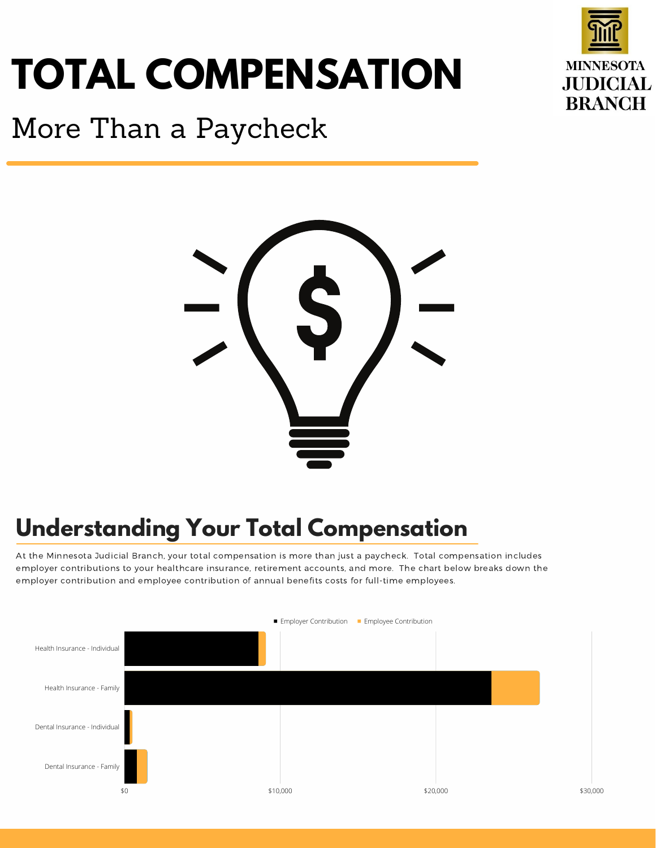# **TOTAL COMPENSATION**



# More Than a Paycheck



## **Understanding Your Total Compensation**

At the Minnesota Judicial Branch, your total compensation is more than just a paycheck. Total compensation includes employer contributions to your healthcare insurance, retirement accounts, and more. The chart below breaks down the employer contribution and employee contribution of annual benefits costs for full-time employees.